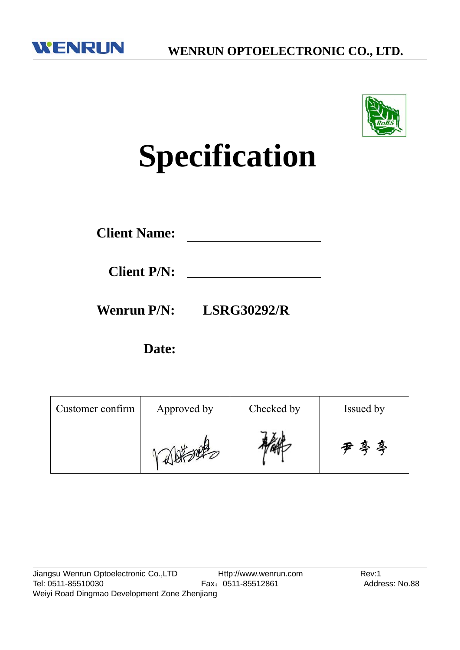



# **Specification**

| <b>Client Name:</b> |
|---------------------|
|---------------------|

**Wenrun P/N: LSRG30292/R**

**Date:**

| Customer confirm | Checked by<br>Approved by |  | Issued by |
|------------------|---------------------------|--|-----------|
|                  |                           |  | 尹忌亭       |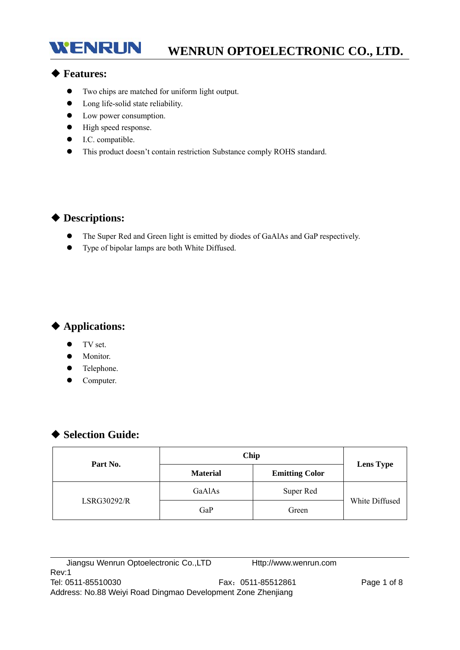# **WENRUN OPTOELECTRONIC CO., LTD.**

## ◆ **Features:**

**WENRUN** 

- Two chips are matched for uniform light output.
- Long life-solid state reliability.
- Low power consumption.
- $\bullet$  High speed response.
- $\bullet$  I.C. compatible.
- This product doesn't contain restriction Substance comply ROHS standard.

## ◆ **Descriptions:**

- The Super Red and Green light is emitted by diodes of GaAlAs and GaP respectively.
- Type of bipolar lamps are both White Diffused.

## ◆ **Applications:**

- $\bullet$  TV set.
- $\bullet$  Monitor.
- Telephone.
- Computer.

## ◆ **Selection Guide:**

| Part No.           | Chip            |                       |                  |
|--------------------|-----------------|-----------------------|------------------|
|                    | <b>Material</b> | <b>Emitting Color</b> | <b>Lens Type</b> |
|                    | GaAlAs          | Super Red             |                  |
| <b>LSRG30292/R</b> | GaP             | Green                 | White Diffused   |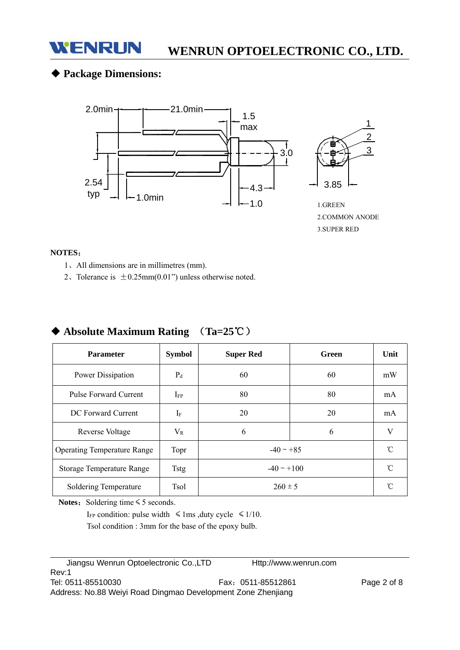

## ◆ **Package Dimensions:**



#### **NOTES**:

- 1、All dimensions are in millimetres (mm).
- 2. Tolerance is  $\pm 0.25$ mm $(0.01)$ " unless otherwise noted.

| <b>Parameter</b>                   | <b>Symbol</b>        | <b>Super Red</b> | Green | Unit      |
|------------------------------------|----------------------|------------------|-------|-----------|
| Power Dissipation                  | $P_d$                | 60               | 60    | mW        |
| Pulse Forward Current              | $I_{FP}$             | 80               | 80    | mA        |
| DC Forward Current                 | $\rm I$ <sub>F</sub> | 20               | 20    | mA        |
| Reverse Voltage                    | $\rm V_R$            | 6                | 6     | V         |
| <b>Operating Temperature Range</b> | Topr                 | $-40 \sim +85$   |       | n         |
| Storage Temperature Range          | <b>Tstg</b>          | $-40 \sim +100$  |       | $\hat{C}$ |
| Soldering Temperature              | <b>Tsol</b>          | $260 \pm 5$      |       | n         |

## ◆ **Absolute Maximum Rating** (**Ta=25**℃)

Notes: Soldering time ≤ 5 seconds.

I<sub>FP</sub> condition: pulse width  $\leq 1$ ms ,duty cycle  $\leq 1/10$ . Tsol condition : 3mm for the base of the epoxy bulb.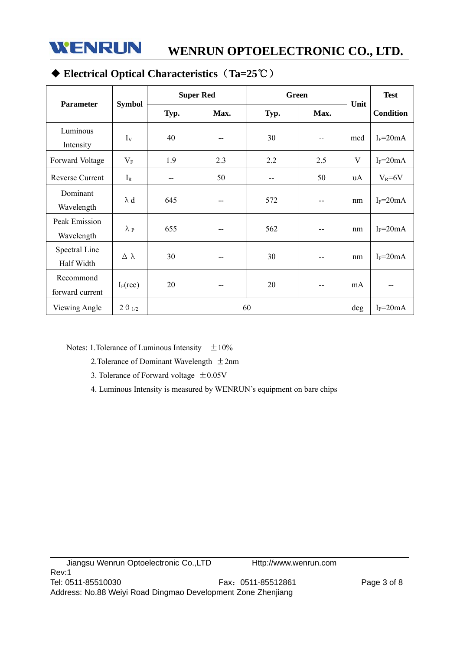

# ◆ **Electrical Optical Characteristics**(**Ta=25**℃)

|                              |                    | <b>Super Red</b> |      | <b>Green</b> |      |      | <b>Test</b>      |
|------------------------------|--------------------|------------------|------|--------------|------|------|------------------|
| <b>Parameter</b>             | <b>Symbol</b>      | Typ.             | Max. | Typ.         | Max. | Unit | <b>Condition</b> |
| Luminous<br>Intensity        | $I_{V}$            | 40               | --   | 30           | $-$  | mcd  | $I_F = 20mA$     |
| Forward Voltage              | $V_{F}$            | 1.9              | 2.3  | 2.2          | 2.5  | V    | $I_F = 20mA$     |
| Reverse Current              | $I_R$              | --               | 50   | --           | 50   | uA   | $V_R = 6V$       |
| Dominant<br>Wavelength       | $\lambda$ d        | 645              | --   | 572          | --   | nm   | $I_F = 20mA$     |
| Peak Emission<br>Wavelength  | $\lambda$ p        | 655              |      | 562          | --   | nm   | $I_F = 20mA$     |
| Spectral Line<br>Half Width  | $\Delta$ $\lambda$ | 30               | --   | 30           | --   | nm   | $I_F = 20mA$     |
| Recommond<br>forward current | $I_F$ (rec)        | 20               |      | 20           | --   | mA   |                  |
| Viewing Angle                | $2\theta_{1/2}$    |                  |      | 60           |      | deg  | $I_F = 20mA$     |

Notes: 1. Tolerance of Luminous Intensity  $\pm 10\%$ 

2. Tolerance of Dominant Wavelength  $\pm 2$ nm

- 3. Tolerance of Forward voltage  $\pm 0.05V$
- 4. Luminous Intensity is measured by WENRUN's equipment on bare chips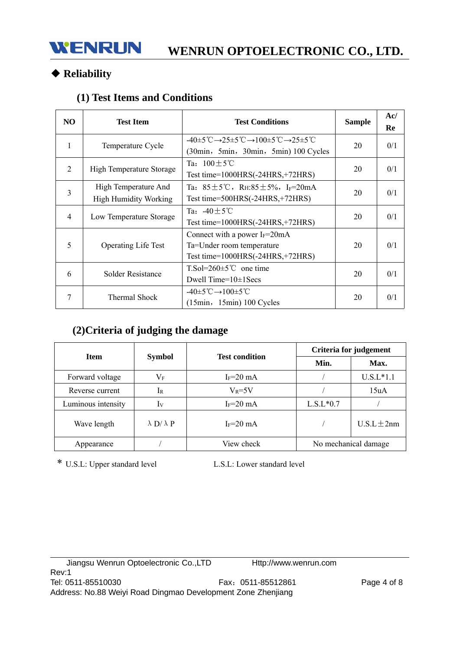# ◆ **Reliability**

# **(1) Test Items and Conditions**

| NO.            | <b>Test Item</b>                                     | <b>Test Conditions</b>                                                                                                                                                 | <b>Sample</b> | Ac/<br>Re |
|----------------|------------------------------------------------------|------------------------------------------------------------------------------------------------------------------------------------------------------------------------|---------------|-----------|
| 1              | Temperature Cycle                                    | $-40\pm5^{\circ}\text{C}\rightarrow25\pm5^{\circ}\text{C}\rightarrow100\pm5^{\circ}\text{C}\rightarrow25\pm5^{\circ}\text{C}$<br>(30min, 5min, 30min, 5min) 100 Cycles | 20            | 0/1       |
| 2              | High Temperature Storage                             | Ta: $100+5^{\circ}$ C<br>Test time= $1000HRS(-24HRS,+72HRS)$                                                                                                           | 20            | 0/1       |
| $\overline{3}$ | High Temperature And<br><b>High Humidity Working</b> | Ta: $85 \pm 5^{\circ}$ C, RH: $85 \pm 5\%$ , I <sub>F</sub> =20mA<br>Test time= $500HRS(-24HRS,+72HRS)$                                                                | 20            | 0/1       |
| $\overline{4}$ | Low Temperature Storage                              | Ta: $-40 \pm 5^{\circ}$ C<br>Test time= $1000HRS(-24HRS,+72HRS)$                                                                                                       | 20            | 0/1       |
| 5              | <b>Operating Life Test</b>                           | Connect with a power $I_F = 20 \text{mA}$<br>Ta=Under room temperature<br>Test time=1000HRS(-24HRS,+72HRS)                                                             | 20            | 0/1       |
| 6              | Solder Resistance                                    | $T.So=260\pm5^{\circ}C$ one time<br>Dwell Time= $10\pm1$ Secs                                                                                                          | 20            | 0/1       |
| 7              | Thermal Shock                                        | $-40\pm 5^{\circ}C \rightarrow 100\pm 5^{\circ}C$<br>$(15min, 15min) 100$ Cycles                                                                                       | 20            | 0/1       |

# **(2)Criteria of judging the damage**

| <b>Item</b>        |                          | <b>Test condition</b> | Criteria for judgement |                 |  |
|--------------------|--------------------------|-----------------------|------------------------|-----------------|--|
|                    | <b>Symbol</b>            |                       | Min.                   | Max.            |  |
| Forward voltage    | $\rm V_F$                | $I_F = 20$ mA         |                        | $U.S.L*1.1$     |  |
| Reverse current    | 1 <sub>R</sub>           | $V_R = 5V$            |                        | 15uA            |  |
| Luminous intensity | Iv                       | $I_F = 20$ mA         | $L.S.L*0.7$            |                 |  |
| Wave length        | $\lambda$ D/ $\lambda$ P | $I_F = 20$ mA         |                        | $U.S.L \pm 2nm$ |  |
| Appearance         |                          | View check            | No mechanical damage   |                 |  |

\* U.S.L: Upper standard level L.S.L: Lower standard level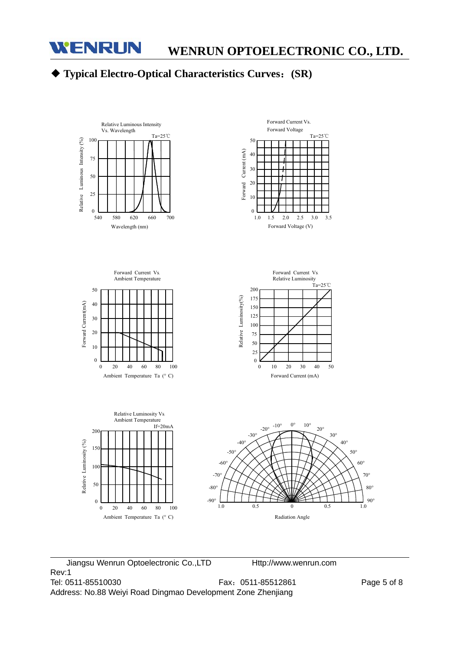# ◆ **Typical Electro-Optical Characteristics Curves**:**(SR)**



Jiangsu Wenrun Optoelectronic Co.,LTD Http://www.wenrun.com Rev:1 Tel: 0511-85510030 Fax:0511-85512861 Page 5 of 8 Address: No.88 Weiyi Road Dingmao Development Zone Zhenjiang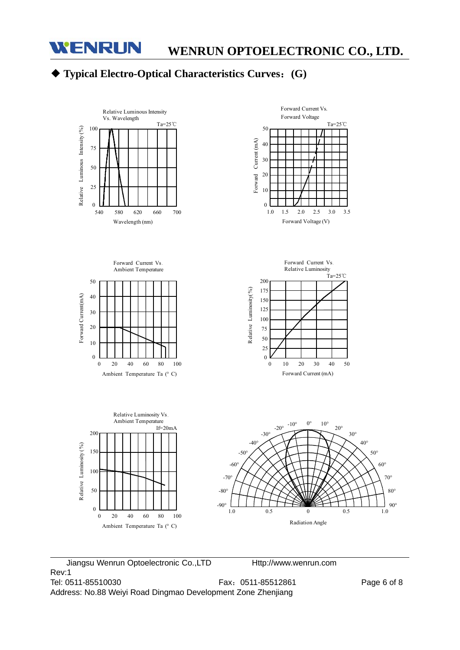

# ◆ **Typical Electro-Optical Characteristics Curves**:**(G)**



Jiangsu Wenrun Optoelectronic Co.,LTD Http://www.wenrun.com Rev:1 Tel: 0511-85510030 Fax:0511-85512861 Page 6 of 8 Address: No.88 Weiyi Road Dingmao Development Zone Zhenjiang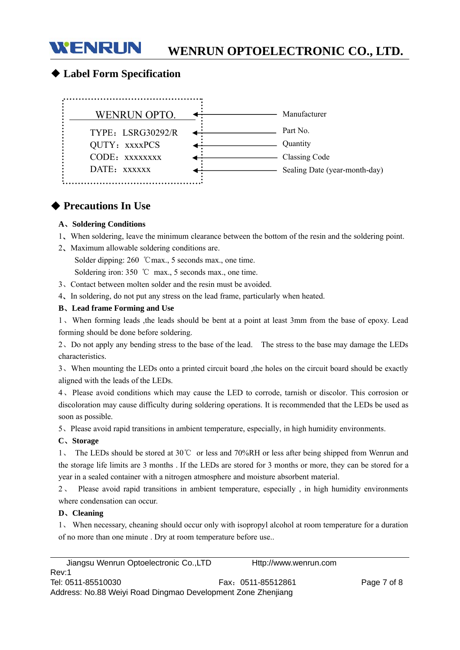# **WENRUN OPTOELECTRONIC CO., LTD.**

## ◆ **Label Form Specification**

**WENRUN** 



## ◆ **Precautions In Use**

#### **A**、**Soldering Conditions**

- 1、When soldering, leave the minimum clearance between the bottom of the resin and the soldering point.
- 2、Maximum allowable soldering conditions are.

Solder dipping: 260 ℃max., 5 seconds max., one time.

Soldering iron: 350 ℃ max., 5 seconds max., one time.

3、Contact between molten solder and the resin must be avoided.

4、In soldering, do not put any stress on the lead frame, particularly when heated.

#### **B**、**Lead frame Forming and Use**

1、When forming leads ,the leads should be bent at a point at least 3mm from the base of epoxy. Lead forming should be done before soldering.

2、Do not apply any bending stress to the base of the lead. The stress to the base may damage the LEDs characteristics.

3、When mounting the LEDs onto a printed circuit board ,the holes on the circuit board should be exactly aligned with the leads of the LEDs.

4、Please avoid conditions which may cause the LED to corrode, tarnish or discolor. This corrosion or discoloration may cause difficulty during soldering operations. It is recommended that the LEDs be used as soon as possible.

5、Please avoid rapid transitions in ambient temperature, especially, in high humidity environments.

#### **C**、**Storage**

The LEDs should be stored at  $30^{\circ}$  or less and  $70\%$ RH or less after being shipped from Wenrun and the storage life limits are 3 months . If the LEDs are stored for 3 months or more, they can be stored for a year in a sealed container with a nitrogen atmosphere and moisture absorbent material.

2、 Please avoid rapid transitions in ambient temperature, especially , in high humidity environments where condensation can occur.

#### **D**、**Cleaning**

1、 When necessary, cheaning should occur only with isopropyl alcohol at room temperature for a duration of no more than one minute . Dry at room temperature before use..

| Jiangsu Wenrun Optoelectronic Co., LTD                       | Http://www.wenrun.com |             |
|--------------------------------------------------------------|-----------------------|-------------|
| Rev:1                                                        |                       |             |
| Tel: 0511-85510030                                           | Fax: 0511-85512861    | Page 7 of 8 |
| Address: No.88 Weiyi Road Dingmao Development Zone Zhenjiang |                       |             |